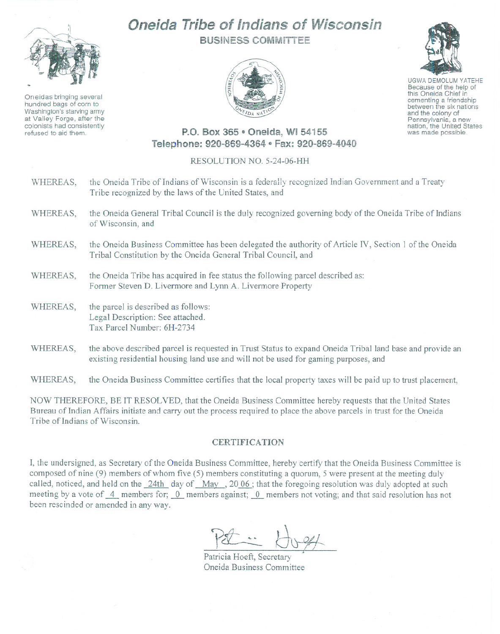## Oneida **Tribe** of Indians of Wisconsin



Oneidas bringing several hundred bags of corn to Washington's starving army at Valley Forge, after the colonists had consistently refused to aid thern.

BUSINESS COMMITTEE





UGWA DEMOLUM YATEHE Because of the help of this Oneida Chief in<br>cementing a friendship between the six nations and the colony of<br>Pennsylvania, a new nation, the United States was made possible.

## P.O. Box 365 • Oneida, WI 54155 Telephone: 920-869-4364 · Fax: 920-869-4040

## RESOLUTION NO. 5-24-06-HH

| WHEREAS, | the Oneida Tribe of Indians of Wisconsin is a federally recognized Indian Government and a Treaty<br>Tribe recognized by the laws of the United States, and            |
|----------|------------------------------------------------------------------------------------------------------------------------------------------------------------------------|
| WHEREAS, | the Oneida General Tribal Council is the duly recognized governing body of the Oneida Tribe of Indians<br>of Wisconsin, and                                            |
| WHEREAS, | the Oneida Business Committee has been delegated the authority of Article IV, Section 1 of the Oneida<br>Tribal Constitution by the Oneida General Tribal Council, and |
| WHEREAS, | the Oneida Tribe has acquired in fee status the following parcel described as:<br>Former Steven D. Livermore and Lynn A. Livermore Property                            |
| WHEREAS, | the parcel is described as follows:<br>Legal Description: See attached.<br>Tax Parcel Number: 6H-2734                                                                  |
| WHEREAS, | the above described parcel is requested in Trust Status to expand Oneida Tribal land base and provide an                                                               |

WHEREAS, the Oneida Business Committee certifies that the local property taxes will be paid up to trust placement,

existing residential housing land use and will not be used for gaming purposes, and

NOW THEREFORE, BE IT RESOLVED, that the Oneida Business Committee hereby requests that the United States Bureau of Indian Affairs initiate and cany out the process required to place the above parcels in trust for the Oneida Tribe of Indians of Wisconsin.

## **CERTIFICATION**

I, the undersigned, as Secretary of the Oneida Business Committee, hereby certify that the Oneida Business Committee is composed of nine (9) members of whom five (5) members constituting a quorum, 5 were present at the meeting duly called, noticed, and held on the 24th day of May, 20 06; that the foregoing resolution was duly adopted at such meeting by a vote of 4 members for; 0 members against; 0 members not voting; and that said resolution has not been rescinded or amended in any way.

Patricia Hoeft, Secretary Oneida Business Committee